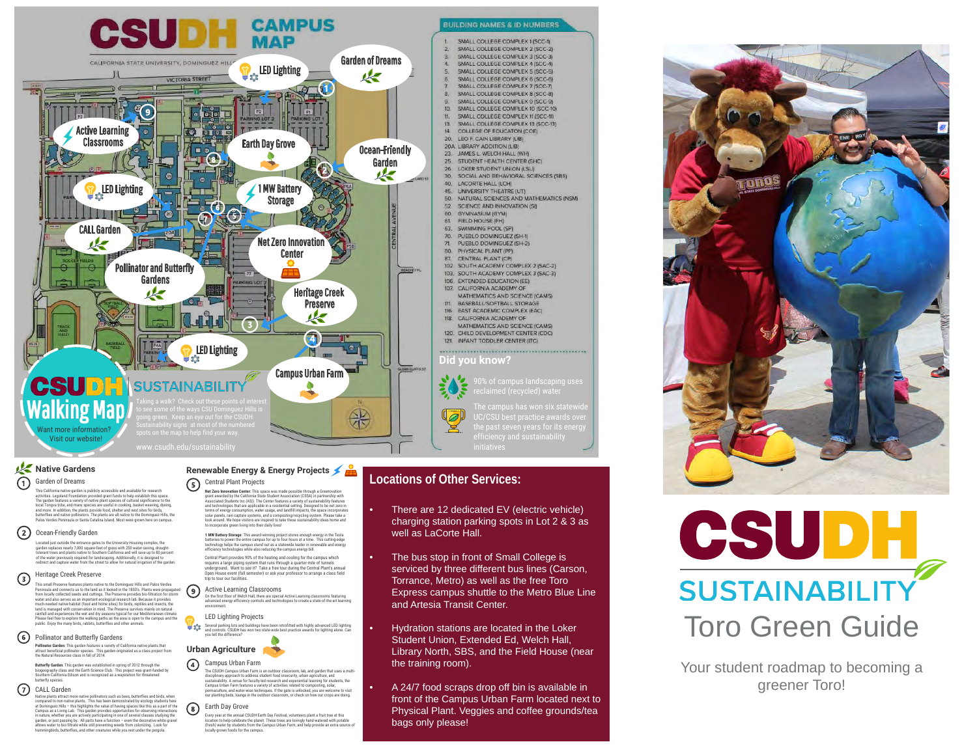

#### **Native Gardens** Garden of Dreams ⋒

This California native garden is publicly accessible and available for research activities. Legoland Foundation provided grant funds to help establisht hits space.<br>The garden features a variety of native julars togeles of cultural significance to the<br>local Tongva tribe, and many species are useful in

### Ocean-Friendly Garden

Located just outside the entrance gates to the University Housing complex, the<br>garden replaces nearly 7,000 square-feet of grass with 250 water-saving, drought-<br>tolerant trees and plants native to Southern California and w

#### Heritage Creek Preserve  $\odot$

This small Preserve features plants native to the Dominguez Hills and Palos Verdes Peninsula and connects us to the land as it looked in the 1800's. Plants were propagated from locally collected seeds and cuttings. The Preserve provides bio-filteration for storm<br>water and also serves as an important ecological research tab. Because it provides<br>and also serves as an important ecological resea

### Pollinator and Butterfly Gardens

**Pollinator Garden:** This garden features a variety of California native plants that<br>attract beneficial pollinator species. This garden originated as a class project from<br>the Natural Resources class in fall of 2014.

**Butterfly Garden**: This garden was established in spring of 2012 through the biogeography class and the Earth Science Club. This project was grant-funded by Southern California Edison and is recognized as a waystation for threatened butterfly species.

### (7) CALL Garden

Native plants attract more mative pollinators such as been, butterflies and briefs, when<br>compared to non-native plants. This has been demonstrated by ecology students here<br>at Dominguez Hills – this highlights the value of

#### **Renewable Energy & Energy Projects** G) Central Plant Projects

**Net Zero Immouration Center:** This space was made possible through a Greenovation<br>grant awarded by the California State Shuett Masscalation (CSSA) in partnership with<br>Associated Students (nc (ASI). The Center features a v

**1 MW Battery Storage**: This award-winning project stores enough energy in the Tesla batteries to power the entire campus for up to four hours at a time. This cutting-edge technology helps the campus stand out as a statewide leader in renewable and energy efficiency technologies while also reducing the campus energy bill.

Central Plant provides 90% of the heating and cooling for the campus which<br>requires a large piping system that runs through a quarter-mile of tunnels<br>underground. Want to see it? Take a free tour during the Central Plant's

### Active Learning Classrooms

On the first floor of Welch Hall, there are special Active Learning classrooms featuring advanced energy efficiency controls and technologies to create a state-of-the-art learning environment.

### LED Lighting Projects Ψœ

Several parking lots and buildings have been retrofitted with highly advanced LED lighting and controls. CSUDH has won two state-wide best practice awards for lighting alone. Can you tell the difference?



#### $\Omega$ Campus Urban Farm

 $(9)$ 

The CSUDH Campus Lidban Farm is an outdoor classroom, lab, and garden that uses a multi-<br>disciplinary approach to address student food insecurity, urban agriculture, and<br>sustainability. A venue for faculty-led research and our planting beds, lounge in the outdoor classroom, or check on how our crops are doing.

## Earth Day Grove

Every year at the annual CSUDH Earth Day Festival, volunteers plant a fruit tree at this<br>location to help celebrate the planet . These trees are lovingly hand-watered with potable<br>(fresh) water by students from the Campus

## **Locations of Other Services:**

- There are 12 dedicated EV (electric vehicle) charging station parking spots in Lot 2 & 3 as well as LaCorte Hall.
- The bus stop in front of Small College is serviced by three different bus lines (Carson, Torrance, Metro) as well as the free Toro Express campus shuttle to the Metro Blue Line and Artesia Transit Center.
- Hydration stations are located in the Loker Student Union, Extended Ed, Welch Hall, Library North, SBS, and the Field House (near the training room).
- A 24/7 food scraps drop off bin is available in front of the Campus Urban Farm located next to Physical Plant. Veggies and coffee grounds/tea bags only please!





Your student roadmap to becoming a greener Toro!